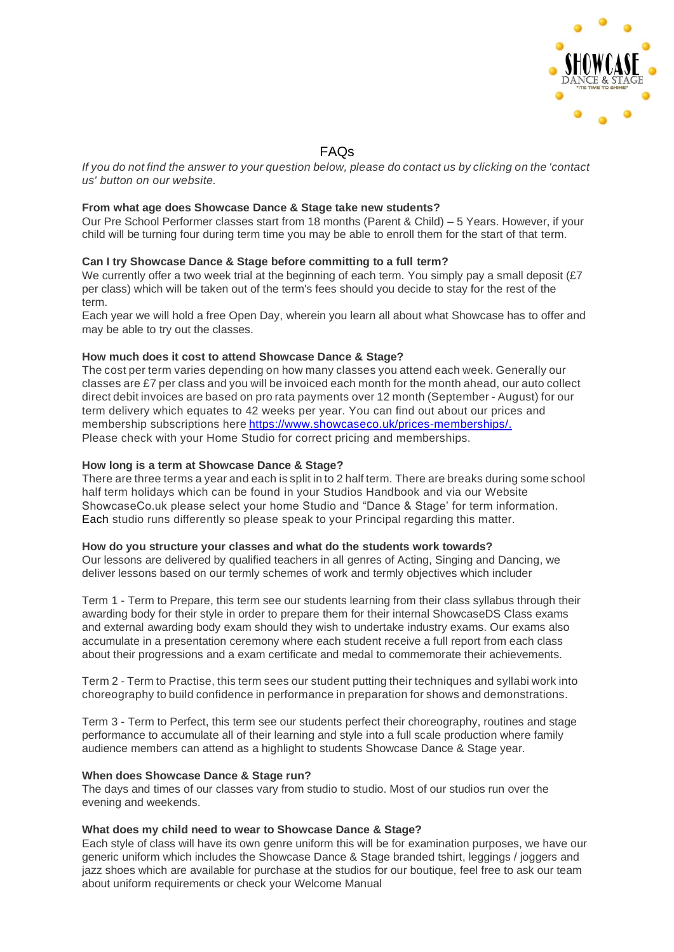

# FAQs

If you do not find the answer to your question below, please do contact us by clicking on the 'contact' *us' button on our website.*

### **From what age does Showcase Dance & Stage take new students?**

Our Pre School Performer classes start from 18 months (Parent & Child) – 5 Years. However, if your child will be turning four during term time you may be able to enroll them for the start of that term.

### **Can I try Showcase Dance & Stage before committing to a full term?**

We currently offer a two week trial at the beginning of each term. You simply pay a small deposit (£7) per class) which will be taken out of the term's fees should you decide to stay for the rest of the term.

Each year we will hold a free Open Day, wherein you learn all about what Showcase has to offer and may be able to try out the classes.

### **How much does it cost to attend Showcase Dance & Stage?**

The cost per term varies depending on how many classes you attend each week. Generally our classes are £7 per class and you will be invoiced each month for the month ahead, our auto collect direct debit invoices are based on pro rata payments over 12 month (September - August) for our term delivery which equates to 42 weeks per year. You can find out about our prices and membership subscriptions here https:/[/www.showcaseco.uk/prices-memberships/.](http://www.showcaseco.uk/prices-memberships/) Please check with your Home Studio for correct pricing and memberships.

### **How long is a term at Showcase Dance & Stage?**

There are three terms a year and each is split in to 2 half term. There are breaks during some school half term holidays which can be found in your Studios Handbook and via our Website ShowcaseCo.uk please select your home Studio and "Dance & Stage' for term information. Each studio runs differently so please speak to your Principal regarding this matter.

#### **How do you structure your classes and what do the students work towards?**

Our lessons are delivered by qualified teachers in all genres of Acting, Singing and Dancing, we deliver lessons based on our termly schemes of work and termly objectives which includer

Term 1 - Term to Prepare, this term see our students learning from their class syllabus through their awarding body for their style in order to prepare them for their internal ShowcaseDS Class exams and external awarding body exam should they wish to undertake industry exams. Our exams also accumulate in a presentation ceremony where each student receive a full report from each class about their progressions and a exam certificate and medal to commemorate their achievements.

Term 2 - Term to Practise, this term sees our student putting their techniques and syllabi work into choreography tobuild confidence in performance in preparation for shows and demonstrations.

Term 3 - Term to Perfect, this term see our students perfect their choreography, routines and stage performance to accumulate all of their learning and style into a full scale production where family audience members can attend as a highlight to students Showcase Dance & Stage year.

#### **When does Showcase Dance & Stage run?**

The days and times of our classes vary from studio to studio. Most of our studios run over the evening and weekends.

#### **What does my child need to wear to Showcase Dance & Stage?**

Each style of class will have its own genre uniform this will be for examination purposes, we have our generic uniform which includes the Showcase Dance & Stage branded tshirt, leggings / joggers and jazz shoes which are available for purchase at the studios for our boutique, feel free to ask our team about uniform requirements or check your Welcome Manual